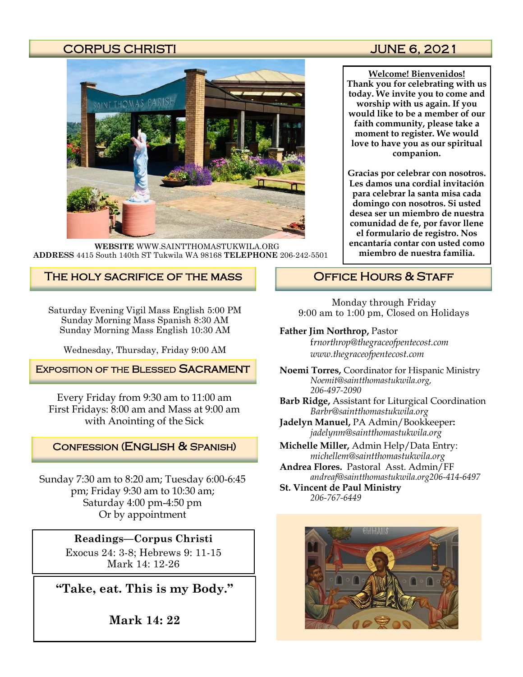## CORPUS CHRISTI JUNE 6, 2021



**WEBSITE** WWW.SAINTTHOMASTUKWILA.ORG **ADDRESS** 4415 South 140th ST Tukwila WA 98168 **TELEPHONE** 206-242-5501

#### The holy sacrifice of the mass

Saturday Evening Vigil Mass English 5:00 PM Sunday Morning Mass Spanish 8:30 AM Sunday Morning Mass English 10:30 AM

Wednesday, Thursday, Friday 9:00 AM

#### **EXPOSITION OF THE BLESSED SACRAMENT**

Every Friday from 9:30 am to 11:00 am First Fridays: 8:00 am and Mass at 9:00 am with Anointing of the Sick

#### Confession (English & Spanish)

Sunday 7:30 am to 8:20 am; Tuesday 6:00-6:45 pm; Friday 9:30 am to 10:30 am; Saturday 4:00 pm-4:50 pm Or by appointment

## **Readings—Corpus Christi**

Exocus 24: 3-8; Hebrews 9: 11-15 Mark 14: 12-26

**"Take, eat. This is my Body."**

**Mark 14: 22**

**Welcome! Bienvenidos! Thank you for celebrating with us today. We invite you to come and worship with us again. If you would like to be a member of our faith community, please take a moment to register. We would love to have you as our spiritual companion.** 

**Gracias por celebrar con nosotros. Les damos una cordial invitación para celebrar la santa misa cada domingo con nosotros. Si usted desea ser un miembro de nuestra comunidad de fe, por favor llene el formulario de registro. Nos encantaría contar con usted como miembro de nuestra familia.**

## OFFICE HOURS & STAFF

Monday through Friday 9:00 am to 1:00 pm, Closed on Holidays

#### **Father Jim Northrop,** Pastor

f*rnorthrop@thegraceofpentecost.com www.thegraceofpentecost.com* 

- **Noemi Torres,** Coordinator for Hispanic Ministry *Noemit@saintthomastukwila.org, 206-497-2090*
- **Barb Ridge,** Assistant for Liturgical Coordination *Barbr@saintthomastukwila.org*
- **Jadelyn Manuel,** PA Admin/Bookkeeper**:**  *jadelynm@saintthomastukwila.org*
- **Michelle Miller,** Admin Help/Data Entry: *michellem@saintthomastukwila.org*
- **Andrea Flores.** Pastoral Asst. Admin/FF *andreaf@saintthomastukwila.org206-414-6497*

**St. Vincent de Paul Ministry** *206-767-6449*

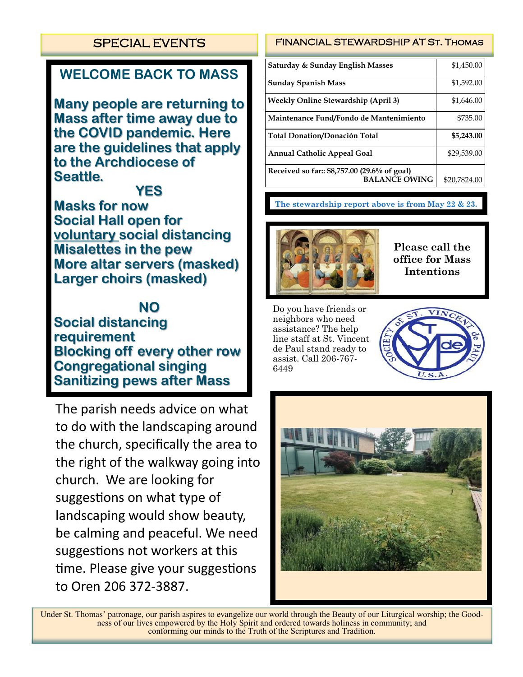## SPECIAL EVENTS

# **WELCOME BACK TO MASS**

**Many people are returning to Mass after time away due to the COVID pandemic. Here are the guidelines that apply to the Archdiocese of Seattle.**

**YES**

**Masks for now Social Hall open for voluntary social distancing Misalettes in the pew More altar servers (masked) Larger choirs (masked)**

**NO**

**Social distancing requirement Blocking off every other row Congregational singing Sanitizing pews after Mass**

The parish needs advice on what to do with the landscaping around the church, specifically the area to the right of the walkway going into church. We are looking for suggestions on what type of landscaping would show beauty, be calming and peaceful. We need suggestions not workers at this time. Please give your suggestions to Oren 206 372-3887.

#### FINANCIAL STEWARDSHIP AT St. Thomas

| Saturday & Sunday English Masses                                     | \$1,450.00   |
|----------------------------------------------------------------------|--------------|
| <b>Sunday Spanish Mass</b>                                           | \$1,592.00   |
| <b>Weekly Online Stewardship (April 3)</b>                           | \$1,646.00   |
| Maintenance Fund/Fondo de Mantenimiento                              | \$735.00     |
| <b>Total Donation/Donación Total</b>                                 | \$5,243.00   |
| <b>Annual Catholic Appeal Goal</b>                                   | \$29,539.00  |
| Received so far:: \$8,757.00 (29.6% of goal)<br><b>BALANCE OWING</b> | \$20,7824.00 |

**The stewardship report above is from May 22 & 23.**



**Please call the office for Mass Intentions**

Do you have friends or neighbors who need assistance? The help line staff at St. Vincent de Paul stand ready to assist. Call 206-767- 6449





Under St. Thomas' patronage, our parish aspires to evangelize our world through the Beauty of our Liturgical worship; the Goodness of our lives empowered by the Holy Spirit and ordered towards holiness in community; and conforming our minds to the Truth of the Scriptures and Tradition.